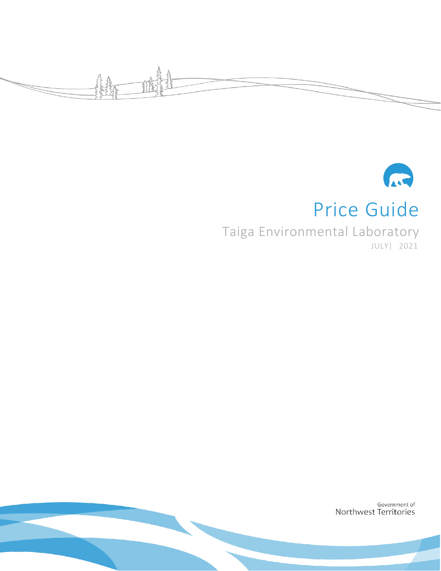



# Price Guide

Taiga Environmental Laboratory JULY| 2021

> Government of Northwest Territories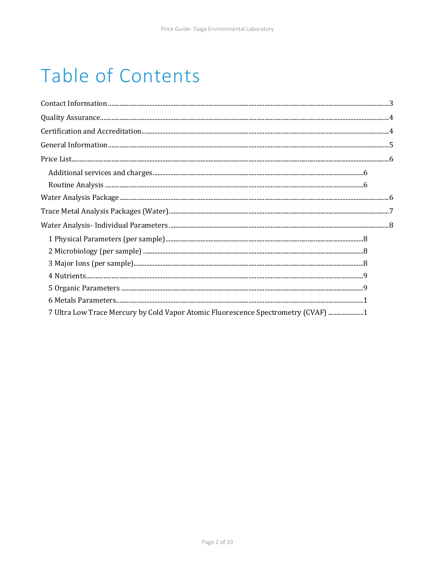# Table of Contents

| 7 Ultra Low Trace Mercury by Cold Vapor Atomic Fluorescence Spectrometry (CVAF) 1 |  |
|-----------------------------------------------------------------------------------|--|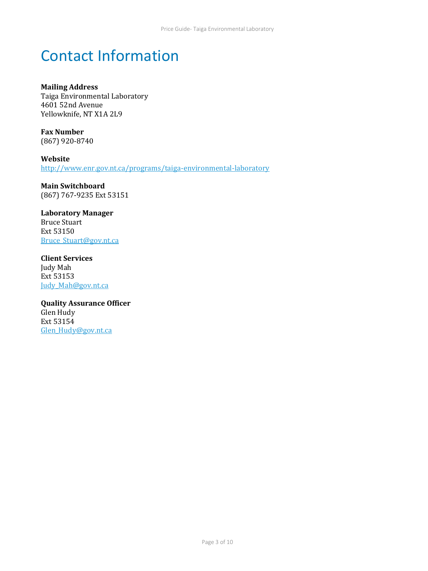# <span id="page-2-0"></span>Contact Information

**Mailing Address**  Taiga Environmental Laboratory 4601 52nd Avenue Yellowknife, NT X1A 2L9

**Fax Number**  (867) 920-8740

**Website** <http://www.enr.gov.nt.ca/programs/taiga-environmental-laboratory>

**Main Switchboard**  (867) 767-9235 Ext 53151

**Laboratory Manager**  Bruce Stuart Ext 53150 [Bruce\\_Stuart@gov.nt.ca](mailto:Bruce_Stuart@gov.nt.ca)

**Client Services**  Judy Mah Ext 53153 [Judy\\_Mah@gov.nt.ca](mailto:Judy_Mah@gov.nt.ca) 

**Quality Assurance Officer**  Glen Hudy Ext 53154 [Glen\\_Hudy@gov.nt.ca](mailto:Glen_Hudy@gov.nt.ca)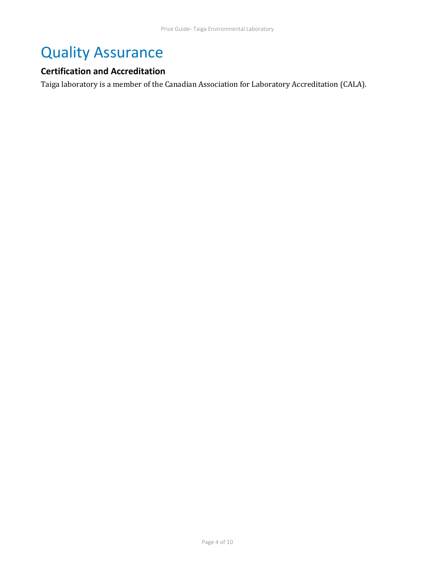# <span id="page-3-0"></span>Quality Assurance

## <span id="page-3-1"></span>**Certification and Accreditation**

Taiga laboratory is a member of the Canadian Association for Laboratory Accreditation (CALA).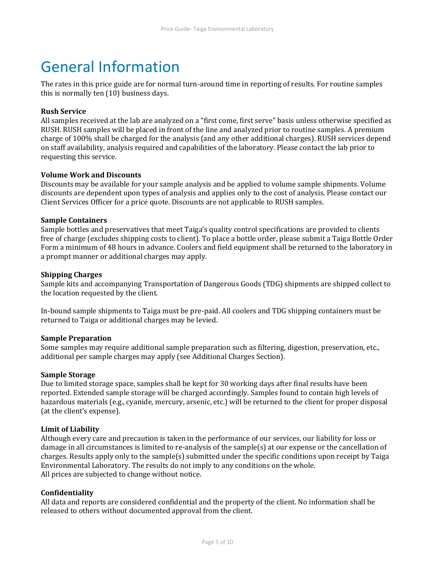# <span id="page-4-0"></span>General Information

The rates in this price guide are for normal turn-around time in reporting of results. For routine samples this is normally ten (10) business days.

### **Rush Service**

All samples received at the lab are analyzed on a "first come, first serve" basis unless otherwise specified as RUSH. RUSH samples will be placed in front of the line and analyzed prior to routine samples. A premium charge of 100% shall be charged for the analysis (and any other additional charges). RUSH services depend on staff availability, analysis required and capabilities of the laboratory. Please contact the lab prior to requesting this service.

### **Volume Work and Discounts**

Discounts may be available for your sample analysis and be applied to volume sample shipments. Volume discounts are dependent upon types of analysis and applies only to the cost of analysis. Please contact our Client Services Officer for a price quote. Discounts are not applicable to RUSH samples.

### **Sample Containers**

Sample bottles and preservatives that meet Taiga's quality control specifications are provided to clients free of charge (excludes shipping costs to client). To place a bottle order, please submit a Taiga Bottle Order Form a minimum of 48 hours in advance. Coolers and field equipment shall be returned to the laboratory in a prompt manner or additional charges may apply.

### **Shipping Charges**

Sample kits and accompanying Transportation of Dangerous Goods (TDG) shipments are shipped collect to the location requested by the client.

In-bound sample shipments to Taiga must be pre-paid. All coolers and TDG shipping containers must be returned to Taiga or additional charges may be levied.

### **Sample Preparation**

Some samples may require additional sample preparation such as filtering, digestion, preservation, etc., additional per sample charges may apply (see Additional Charges Section).

### **Sample Storage**

Due to limited storage space, samples shall be kept for 30 working days after final results have been reported. Extended sample storage will be charged accordingly. Samples found to contain high levels of hazardous materials (e.g., cyanide, mercury, arsenic, etc.) will be returned to the client for proper disposal (at the client's expense).

### **Limit of Liability**

Although every care and precaution is taken in the performance of our services, our liability for loss or damage in all circumstances is limited to re-analysis of the sample(s) at our expense or the cancellation of charges. Results apply only to the sample(s) submitted under the specific conditions upon receipt by Taiga Environmental Laboratory. The results do not imply to any conditions on the whole. All prices are subjected to change without notice.

### **Confidentiality**

All data and reports are considered confidential and the property of the client. No information shall be released to others without documented approval from the client.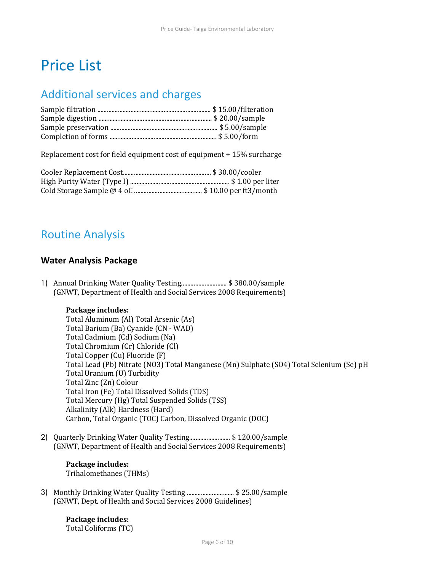# <span id="page-5-0"></span>Price List

## <span id="page-5-1"></span>Additional services and charges

Replacement cost for field equipment cost of equipment + 15% surcharge

## <span id="page-5-2"></span>Routine Analysis

## <span id="page-5-3"></span>**Water Analysis Package**

1) Annual Drinking Water Quality Testing............................. \$ 380.00/sample (GNWT, Department of Health and Social Services 2008 Requirements)

#### **Package includes:**

Total Aluminum (Al) Total Arsenic (As) Total Barium (Ba) Cyanide (CN - WAD) Total Cadmium (Cd) Sodium (Na) Total Chromium (Cr) Chloride (Cl) Total Copper (Cu) Fluoride (F) Total Lead (Pb) Nitrate (NO3) Total Manganese (Mn) Sulphate (SO4) Total Selenium (Se) pH Total Uranium (U) Turbidity Total Zinc (Zn) Colour Total Iron (Fe) Total Dissolved Solids (TDS) Total Mercury (Hg) Total Suspended Solids (TSS) Alkalinity (Alk) Hardness (Hard) Carbon, Total Organic (TOC) Carbon, Dissolved Organic (DOC)

2) Quarterly Drinking Water Quality Testing.......................... \$ 120.00/sample (GNWT, Department of Health and Social Services 2008 Requirements)

## **Package includes:**

Trihalomethanes (THMs)

3) Monthly Drinking Water Quality Testing .............................. \$ 25.00/sample (GNWT, Dept. of Health and Social Services 2008 Guidelines)

> **Package includes:** Total Coliforms (TC)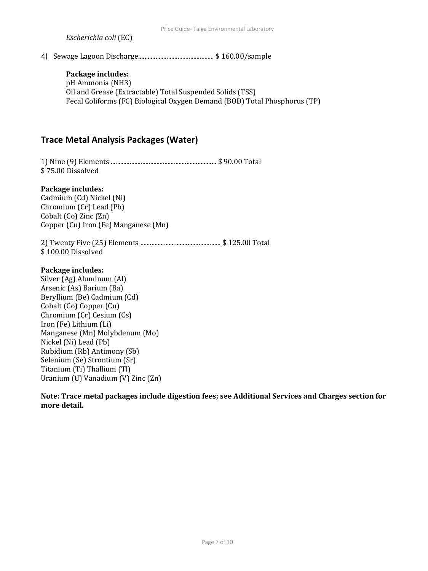*Escherichia coli* (EC)

4) Sewage Lagoon Discharge................................................ \$ 160.00/sample

### **Package includes:**

pH Ammonia (NH3) Oil and Grease (Extractable) Total Suspended Solids (TSS) Fecal Coliforms (FC) Biological Oxygen Demand (BOD) Total Phosphorus (TP)

## <span id="page-6-0"></span>**Trace Metal Analysis Packages (Water)**

1) Nine (9) Elements ................................................................... \$ 90.00 Total \$ 75.00 Dissolved

#### **Package includes:**

Cadmium (Cd) Nickel (Ni) Chromium (Cr) Lead (Pb) Cobalt (Co) Zinc (Zn) Copper (Cu) Iron (Fe) Manganese (Mn)

2) Twenty Five (25) Elements ................................................... \$ 125.00 Total \$ 100.00 Dissolved

#### **Package includes:**

Silver (Ag) Aluminum (Al) Arsenic (As) Barium (Ba) Beryllium (Be) Cadmium (Cd) Cobalt (Co) Copper (Cu) Chromium (Cr) Cesium (Cs) Iron (Fe) Lithium (Li) Manganese (Mn) Molybdenum (Mo) Nickel (Ni) Lead (Pb) Rubidium (Rb) Antimony (Sb) Selenium (Se) Strontium (Sr) Titanium (Ti) Thallium (Tl) Uranium (U) Vanadium (V) Zinc (Zn)

**Note: Trace metal packages include digestion fees; see Additional Services and Charges section for more detail.**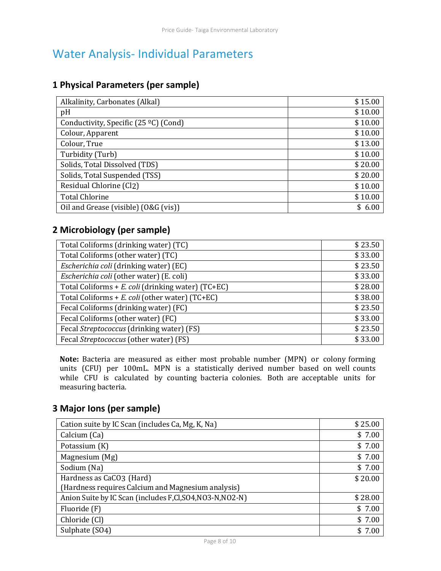# <span id="page-7-0"></span>Water Analysis- Individual Parameters

## **1 Physical Parameters (per sample)**

<span id="page-7-1"></span>

| Alkalinity, Carbonates (Alkal)        | \$15.00 |
|---------------------------------------|---------|
| pH                                    | \$10.00 |
| Conductivity, Specific (25 °C) (Cond) | \$10.00 |
| Colour, Apparent                      | \$10.00 |
| Colour, True                          | \$13.00 |
| Turbidity (Turb)                      | \$10.00 |
| Solids, Total Dissolved (TDS)         | \$20.00 |
| Solids, Total Suspended (TSS)         | \$20.00 |
| Residual Chlorine (Cl2)               | \$10.00 |
| <b>Total Chlorine</b>                 | \$10.00 |
| Oil and Grease (visible) (O&G (vis))  | 6.00    |

## **2 Microbiology (per sample)**

<span id="page-7-2"></span>

| Total Coliforms (drinking water) (TC)              | \$23.50 |
|----------------------------------------------------|---------|
| Total Coliforms (other water) (TC)                 | \$33.00 |
| Escherichia coli (drinking water) (EC)             | \$23.50 |
| Escherichia coli (other water) (E. coli)           | \$33.00 |
| Total Coliforms + E. coli (drinking water) (TC+EC) | \$28.00 |
| Total Coliforms + E. coli (other water) (TC+EC)    | \$38.00 |
| Fecal Coliforms (drinking water) (FC)              | \$23.50 |
| Fecal Coliforms (other water) (FC)                 | \$33.00 |
| Fecal Streptococcus (drinking water) (FS)          | \$23.50 |
| Fecal Streptococcus (other water) (FS)             | \$33.00 |

**Note:** Bacteria are measured as either most probable number (MPN) or colony forming units (CFU) per 100mL. MPN is a statistically derived number based on well counts while CFU is calculated by counting bacteria colonies. Both are acceptable units for measuring bacteria.

## **3 Major Ions (per sample)**

<span id="page-7-3"></span>

| Cation suite by IC Scan (includes Ca, Mg, K, Na)       | \$25.00 |
|--------------------------------------------------------|---------|
| Calcium (Ca)                                           | \$7.00  |
| Potassium (K)                                          | \$7.00  |
| Magnesium (Mg)                                         | \$7.00  |
| Sodium (Na)                                            | \$7.00  |
| Hardness as CaCO3 (Hard)                               | \$20.00 |
| (Hardness requires Calcium and Magnesium analysis)     |         |
| Anion Suite by IC Scan (includes F,Cl,SO4,NO3-N,NO2-N) | \$28.00 |
| Fluoride (F)                                           | \$7.00  |
| Chloride (Cl)                                          | \$7.00  |
| Sulphate (SO4)                                         | 7.00    |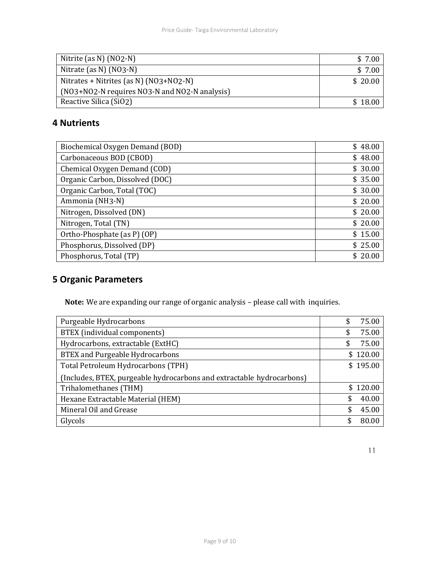| Nitrite (as N) $(NO2-N)$                      | \$7.00  |
|-----------------------------------------------|---------|
| Nitrate (as N) $(NO3-N)$                      | \$7.00  |
| Nitrates + Nitrites (as N) (NO3+NO2-N)        | \$20.00 |
| (NO3+NO2-N requires NO3-N and NO2-N analysis) |         |
| Reactive Silica (SiO2)                        | \$18.00 |

## **4 Nutrients**

<span id="page-8-0"></span>

| Biochemical Oxygen Demand (BOD) | \$48.00 |
|---------------------------------|---------|
| Carbonaceous BOD (CBOD)         | \$48.00 |
| Chemical Oxygen Demand (COD)    | \$30.00 |
| Organic Carbon, Dissolved (DOC) | \$35.00 |
| Organic Carbon, Total (TOC)     | \$30.00 |
| Ammonia (NH3-N)                 | \$20.00 |
| Nitrogen, Dissolved (DN)        | \$20.00 |
| Nitrogen, Total (TN)            | \$20.00 |
| Ortho-Phosphate (as P) (OP)     | \$15.00 |
| Phosphorus, Dissolved (DP)      | \$25.00 |
| Phosphorus, Total (TP)          | 20.00   |

## **5 Organic Parameters**

<span id="page-8-1"></span>**Note:** We are expanding our range of organic analysis – please call with inquiries.

| Purgeable Hydrocarbons                                                | 75.00<br>\$  |
|-----------------------------------------------------------------------|--------------|
| BTEX (individual components)                                          | 75.00<br>S   |
| Hydrocarbons, extractable (ExtHC)                                     | 75.00<br>\$  |
| <b>BTEX</b> and Purgeable Hydrocarbons                                | \$120.00     |
| Total Petroleum Hydrocarbons (TPH)                                    | \$195.00     |
| (Includes, BTEX, purgeable hydrocarbons and extractable hydrocarbons) |              |
| Trihalomethanes (THM)                                                 | \$120.00     |
| Hexane Extractable Material (HEM)                                     | 40.00<br>\$. |
| Mineral Oil and Grease                                                | 45.00        |
| Glycols                                                               | \$<br>80.00  |